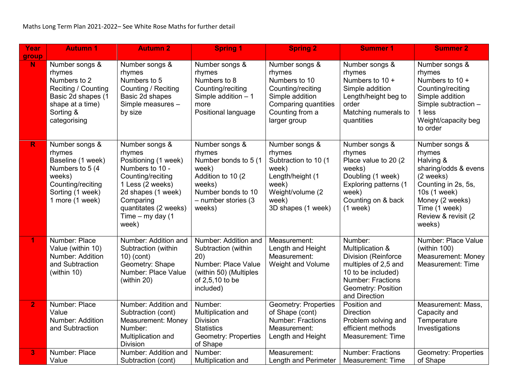| Year           | <b>Autumn 1</b>                                                                                                                         | <b>Autumn 2</b>                                                                                                                                                                                         | <b>Spring 1</b>                                                                                                                                     | <b>Spring 2</b>                                                                                                                                     | <b>Summer 1</b>                                                                                                                                                     | <b>Summer 2</b>                                                                                                                                                                         |
|----------------|-----------------------------------------------------------------------------------------------------------------------------------------|---------------------------------------------------------------------------------------------------------------------------------------------------------------------------------------------------------|-----------------------------------------------------------------------------------------------------------------------------------------------------|-----------------------------------------------------------------------------------------------------------------------------------------------------|---------------------------------------------------------------------------------------------------------------------------------------------------------------------|-----------------------------------------------------------------------------------------------------------------------------------------------------------------------------------------|
| group<br>N     | Number songs &<br>rhymes<br>Numbers to 2<br>Reciting / Counting<br>Basic 2d shapes (1<br>shape at a time)<br>Sorting &<br>categorising  | Number songs &<br>rhymes<br>Numbers to 5<br>Counting / Reciting<br>Basic 2d shapes<br>Simple measures -<br>by size                                                                                      | Number songs &<br>rhymes<br>Numbers to 8<br>Counting/reciting<br>Simple addition $-1$<br>more<br>Positional language                                | Number songs &<br>rhymes<br>Numbers to 10<br>Counting/reciting<br>Simple addition<br><b>Comparing quantities</b><br>Counting from a<br>larger group | Number songs &<br>rhymes<br>Numbers to 10 +<br>Simple addition<br>Length/height beg to<br>order<br>Matching numerals to<br>quantities                               | Number songs &<br>rhymes<br>Numbers to 10 +<br>Counting/reciting<br>Simple addition<br>Simple subtraction -<br>1 less<br>Weight/capacity beg<br>to order                                |
| $\mathsf{R}$   | Number songs &<br>rhymes<br>Baseline (1 week)<br>Numbers to 5 (4)<br>weeks)<br>Counting/reciting<br>Sorting (1 week)<br>1 more (1 week) | Number songs &<br>rhymes<br>Positioning (1 week)<br>Numbers to 10 -<br>Counting/reciting<br>1 Less (2 weeks)<br>2d shapes (1 week)<br>Comparing<br>quantitates (2 weeks)<br>Time $-$ my day (1<br>week) | Number songs &<br>rhymes<br>Number bonds to 5 (1<br>week)<br>Addition to 10 (2)<br>weeks)<br>Number bonds to 10<br>$-$ number stories (3)<br>weeks) | Number songs &<br>rhymes<br>Subtraction to 10 (1<br>week)<br>Length/height (1<br>week)<br>Weight/volume (2<br>week)<br>3D shapes (1 week)           | Number songs &<br>rhymes<br>Place value to 20 (2)<br>weeks)<br>Doubling (1 week)<br>Exploring patterns (1<br>week)<br>Counting on & back<br>$(1$ week)              | Number songs &<br>rhymes<br>Halving &<br>sharing/odds & evens<br>(2 weeks)<br>Counting in 2s, 5s,<br>10s (1 week)<br>Money (2 weeks)<br>Time (1 week)<br>Review & revisit (2)<br>weeks) |
| 1.             | Number: Place<br>Value (within 10)<br><b>Number: Addition</b><br>and Subtraction<br>(within 10)                                         | Number: Addition and<br>Subtraction (within<br>$10)$ (cont)<br>Geometry: Shape<br>Number: Place Value<br>(within 20)                                                                                    | Number: Addition and<br>Subtraction (within<br>20)<br>Number: Place Value<br>(within 50) (Multiples<br>of 2,5,10 to be<br>included)                 | Measurement:<br>Length and Height<br>Measurement:<br>Weight and Volume                                                                              | Number:<br>Multiplication &<br>Division (Reinforce<br>multiples of 2,5 and<br>10 to be included)<br><b>Number: Fractions</b><br>Geometry: Position<br>and Direction | Number: Place Value<br>(within $100$ )<br>Measurement: Money<br>Measurement: Time                                                                                                       |
| 2 <sup>1</sup> | Number: Place<br>Value<br><b>Number: Addition</b><br>and Subtraction                                                                    | Number: Addition and<br>Subtraction (cont)<br><b>Measurement: Money</b><br>Number:<br>Multiplication and<br><b>Division</b>                                                                             | Number:<br>Multiplication and<br><b>Division</b><br><b>Statistics</b><br><b>Geometry: Properties</b><br>of Shape                                    | <b>Geometry: Properties</b><br>of Shape (cont)<br><b>Number: Fractions</b><br>Measurement:<br>Length and Height                                     | Position and<br><b>Direction</b><br>Problem solving and<br>efficient methods<br><b>Measurement: Time</b>                                                            | Measurement: Mass,<br>Capacity and<br>Temperature<br>Investigations                                                                                                                     |
| 3              | Number: Place<br>Value                                                                                                                  | Number: Addition and<br>Subtraction (cont)                                                                                                                                                              | Number:<br>Multiplication and                                                                                                                       | Measurement:<br>Length and Perimeter                                                                                                                | <b>Number: Fractions</b><br><b>Measurement: Time</b>                                                                                                                | <b>Geometry: Properties</b><br>of Shape                                                                                                                                                 |